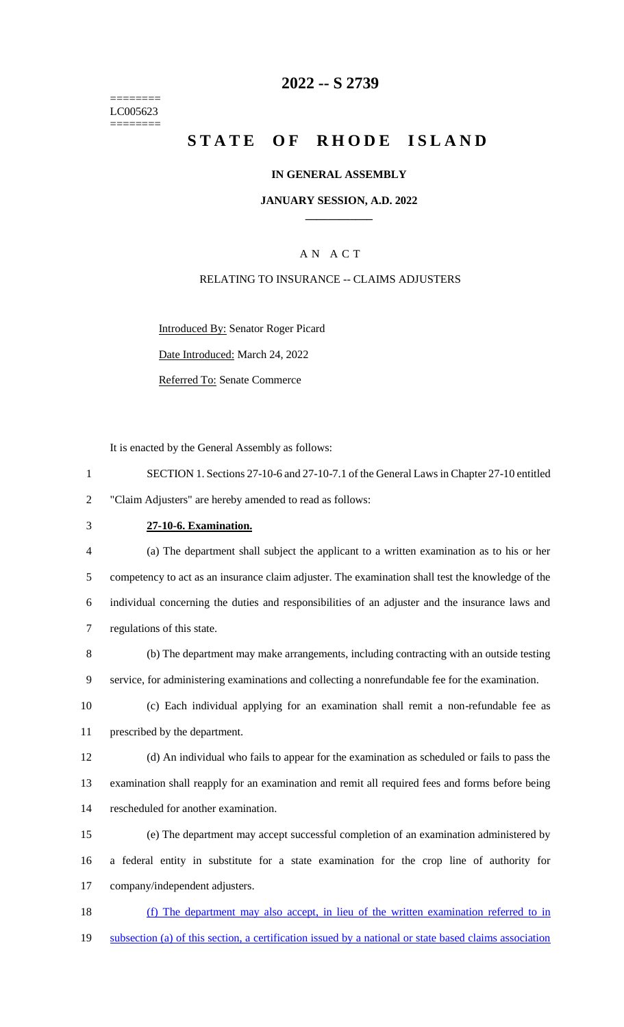======== LC005623 ========

## **2022 -- S 2739**

# **STATE OF RHODE ISLAND**

### **IN GENERAL ASSEMBLY**

### **JANUARY SESSION, A.D. 2022 \_\_\_\_\_\_\_\_\_\_\_\_**

## A N A C T

### RELATING TO INSURANCE -- CLAIMS ADJUSTERS

Introduced By: Senator Roger Picard

Date Introduced: March 24, 2022

Referred To: Senate Commerce

It is enacted by the General Assembly as follows:

| SECTION 1. Sections 27-10-6 and 27-10-7.1 of the General Laws in Chapter 27-10 entitled |
|-----------------------------------------------------------------------------------------|
| "Claim Adjusters" are hereby amended to read as follows:                                |

# 3 **27-10-6. Examination.**

 (a) The department shall subject the applicant to a written examination as to his or her competency to act as an insurance claim adjuster. The examination shall test the knowledge of the individual concerning the duties and responsibilities of an adjuster and the insurance laws and regulations of this state.

8 (b) The department may make arrangements, including contracting with an outside testing 9 service, for administering examinations and collecting a nonrefundable fee for the examination.

10 (c) Each individual applying for an examination shall remit a non-refundable fee as 11 prescribed by the department.

12 (d) An individual who fails to appear for the examination as scheduled or fails to pass the 13 examination shall reapply for an examination and remit all required fees and forms before being 14 rescheduled for another examination.

15 (e) The department may accept successful completion of an examination administered by 16 a federal entity in substitute for a state examination for the crop line of authority for 17 company/independent adjusters.

18 (f) The department may also accept, in lieu of the written examination referred to in 19 subsection (a) of this section, a certification issued by a national or state based claims association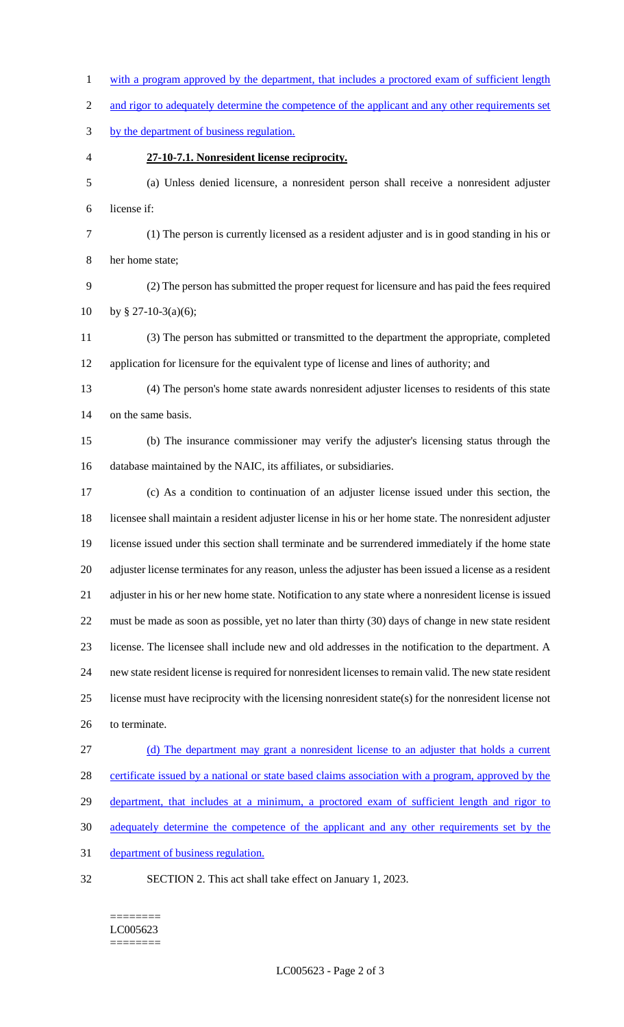1 with a program approved by the department, that includes a proctored exam of sufficient length 2 and rigor to adequately determine the competence of the applicant and any other requirements set by the department of business regulation. **27-10-7.1. Nonresident license reciprocity.** (a) Unless denied licensure, a nonresident person shall receive a nonresident adjuster license if: (1) The person is currently licensed as a resident adjuster and is in good standing in his or her home state; (2) The person has submitted the proper request for licensure and has paid the fees required 10 by § 27-10-3(a)(6); (3) The person has submitted or transmitted to the department the appropriate, completed application for licensure for the equivalent type of license and lines of authority; and (4) The person's home state awards nonresident adjuster licenses to residents of this state on the same basis. (b) The insurance commissioner may verify the adjuster's licensing status through the database maintained by the NAIC, its affiliates, or subsidiaries. (c) As a condition to continuation of an adjuster license issued under this section, the licensee shall maintain a resident adjuster license in his or her home state. The nonresident adjuster license issued under this section shall terminate and be surrendered immediately if the home state adjuster license terminates for any reason, unless the adjuster has been issued a license as a resident adjuster in his or her new home state. Notification to any state where a nonresident license is issued must be made as soon as possible, yet no later than thirty (30) days of change in new state resident license. The licensee shall include new and old addresses in the notification to the department. A new state resident license is required for nonresident licenses to remain valid. The new state resident license must have reciprocity with the licensing nonresident state(s) for the nonresident license not to terminate. (d) The department may grant a nonresident license to an adjuster that holds a current certificate issued by a national or state based claims association with a program, approved by the 29 department, that includes at a minimum, a proctored exam of sufficient length and rigor to adequately determine the competence of the applicant and any other requirements set by the department of business regulation. SECTION 2. This act shall take effect on January 1, 2023.

#### ======== LC005623 ========

LC005623 - Page 2 of 3